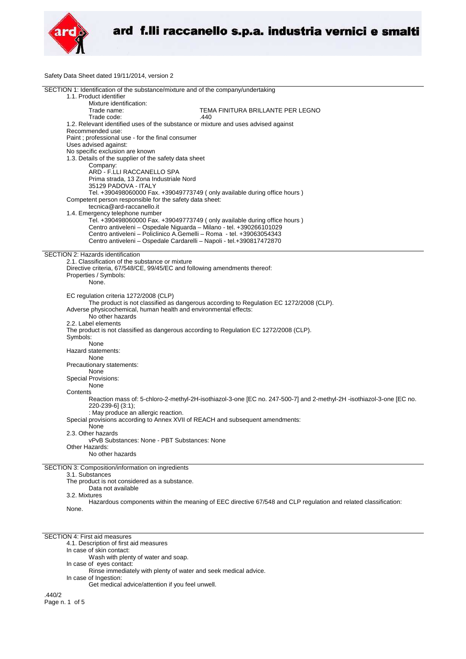

Safety Data Sheet dated 19/11/2014, version 2

| SECTION 1: Identification of the substance/mixture and of the company/undertaking      |                                                                                                                      |  |
|----------------------------------------------------------------------------------------|----------------------------------------------------------------------------------------------------------------------|--|
| 1.1. Product identifier                                                                |                                                                                                                      |  |
| Mixture identification:                                                                |                                                                                                                      |  |
| Trade name:                                                                            | TEMA FINITURA BRILLANTE PER LEGNO                                                                                    |  |
| Trade code:                                                                            | .440                                                                                                                 |  |
| 1.2. Relevant identified uses of the substance or mixture and uses advised against     |                                                                                                                      |  |
| Recommended use:                                                                       |                                                                                                                      |  |
| Paint; professional use - for the final consumer                                       |                                                                                                                      |  |
|                                                                                        |                                                                                                                      |  |
| Uses advised against:                                                                  |                                                                                                                      |  |
| No specific exclusion are known                                                        |                                                                                                                      |  |
| 1.3. Details of the supplier of the safety data sheet                                  |                                                                                                                      |  |
| Company:                                                                               |                                                                                                                      |  |
| ARD - F.LLI RACCANELLO SPA                                                             |                                                                                                                      |  |
| Prima strada, 13 Zona Industriale Nord                                                 |                                                                                                                      |  |
| 35129 PADOVA - ITALY                                                                   |                                                                                                                      |  |
| Tel. +390498060000 Fax. +39049773749 (only available during office hours)              |                                                                                                                      |  |
| Competent person responsible for the safety data sheet:                                |                                                                                                                      |  |
| tecnica@ard-raccanello.it                                                              |                                                                                                                      |  |
| 1.4. Emergency telephone number                                                        |                                                                                                                      |  |
|                                                                                        |                                                                                                                      |  |
| Tel. +390498060000 Fax. +39049773749 (only available during office hours)              |                                                                                                                      |  |
| Centro antiveleni - Ospedale Niguarda - Milano - tel. +390266101029                    |                                                                                                                      |  |
| Centro antiveleni - Policlinico A.Gemelli - Roma - tel. +39063054343                   |                                                                                                                      |  |
| Centro antiveleni - Ospedale Cardarelli - Napoli - tel.+390817472870                   |                                                                                                                      |  |
|                                                                                        |                                                                                                                      |  |
| SECTION 2: Hazards identification                                                      |                                                                                                                      |  |
| 2.1. Classification of the substance or mixture                                        |                                                                                                                      |  |
| Directive criteria, 67/548/CE, 99/45/EC and following amendments thereof:              |                                                                                                                      |  |
| Properties / Symbols:                                                                  |                                                                                                                      |  |
| None.                                                                                  |                                                                                                                      |  |
|                                                                                        |                                                                                                                      |  |
| EC regulation criteria 1272/2008 (CLP)                                                 |                                                                                                                      |  |
|                                                                                        |                                                                                                                      |  |
|                                                                                        | The product is not classified as dangerous according to Regulation EC 1272/2008 (CLP).                               |  |
| Adverse physicochemical, human health and environmental effects:                       |                                                                                                                      |  |
| No other hazards                                                                       |                                                                                                                      |  |
| 2.2. Label elements                                                                    |                                                                                                                      |  |
| The product is not classified as dangerous according to Regulation EC 1272/2008 (CLP). |                                                                                                                      |  |
| Symbols:                                                                               |                                                                                                                      |  |
| None                                                                                   |                                                                                                                      |  |
| Hazard statements:                                                                     |                                                                                                                      |  |
| None                                                                                   |                                                                                                                      |  |
|                                                                                        |                                                                                                                      |  |
| Precautionary statements:                                                              |                                                                                                                      |  |
| None                                                                                   |                                                                                                                      |  |
| <b>Special Provisions:</b>                                                             |                                                                                                                      |  |
| None                                                                                   |                                                                                                                      |  |
| Contents                                                                               |                                                                                                                      |  |
|                                                                                        | Reaction mass of: 5-chloro-2-methyl-2H-isothiazol-3-one [EC no. 247-500-7] and 2-methyl-2H -isothiazol-3-one [EC no. |  |
| 220-239-6] (3:1);                                                                      |                                                                                                                      |  |
| : May produce an allergic reaction.                                                    |                                                                                                                      |  |
| Special provisions according to Annex XVII of REACH and subsequent amendments:         |                                                                                                                      |  |
| None                                                                                   |                                                                                                                      |  |
|                                                                                        |                                                                                                                      |  |
| 2.3. Other hazards                                                                     |                                                                                                                      |  |
| vPvB Substances: None - PBT Substances: None                                           |                                                                                                                      |  |
| Other Hazards:                                                                         |                                                                                                                      |  |
| No other hazards                                                                       |                                                                                                                      |  |
|                                                                                        |                                                                                                                      |  |
| SECTION 3: Composition/information on ingredients                                      |                                                                                                                      |  |
| 3.1. Substances                                                                        |                                                                                                                      |  |
| The product is not considered as a substance.                                          |                                                                                                                      |  |
| Data not available                                                                     |                                                                                                                      |  |
| 3.2. Mixtures                                                                          |                                                                                                                      |  |
|                                                                                        | Hazardous components within the meaning of EEC directive 67/548 and CLP regulation and related classification:       |  |
| None.                                                                                  |                                                                                                                      |  |

SECTION 4: First aid measures

4.1. Description of first aid measures

In case of skin contact:

Wash with plenty of water and soap.

In case of eyes contact:

Rinse immediately with plenty of water and seek medical advice.

In case of Ingestion: Get medical advice/attention if you feel unwell.

.440/2 Page n. 1 of 5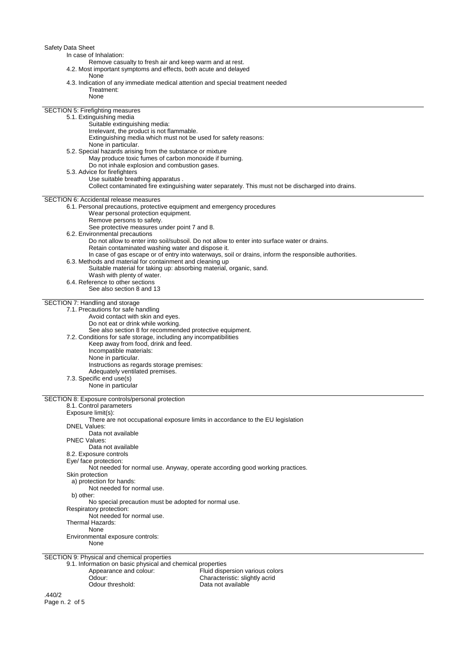Safety Data Sh

| Safety Data Sheet                                                                                     |  |
|-------------------------------------------------------------------------------------------------------|--|
| In case of Inhalation:                                                                                |  |
| Remove casualty to fresh air and keep warm and at rest.                                               |  |
| 4.2. Most important symptoms and effects, both acute and delayed                                      |  |
| None                                                                                                  |  |
| 4.3. Indication of any immediate medical attention and special treatment needed                       |  |
| Treatment:                                                                                            |  |
| None                                                                                                  |  |
|                                                                                                       |  |
| SECTION 5: Firefighting measures                                                                      |  |
| 5.1. Extinguishing media                                                                              |  |
| Suitable extinguishing media:                                                                         |  |
| Irrelevant, the product is not flammable.                                                             |  |
| Extinguishing media which must not be used for safety reasons:                                        |  |
|                                                                                                       |  |
| None in particular.                                                                                   |  |
| 5.2. Special hazards arising from the substance or mixture                                            |  |
| May produce toxic fumes of carbon monoxide if burning.                                                |  |
| Do not inhale explosion and combustion gases.                                                         |  |
| 5.3. Advice for firefighters                                                                          |  |
| Use suitable breathing apparatus.                                                                     |  |
| Collect contaminated fire extinguishing water separately. This must not be discharged into drains.    |  |
|                                                                                                       |  |
| SECTION 6: Accidental release measures                                                                |  |
| 6.1. Personal precautions, protective equipment and emergency procedures                              |  |
| Wear personal protection equipment.                                                                   |  |
| Remove persons to safety.                                                                             |  |
| See protective measures under point 7 and 8.                                                          |  |
| 6.2. Environmental precautions                                                                        |  |
| Do not allow to enter into soil/subsoil. Do not allow to enter into surface water or drains.          |  |
| Retain contaminated washing water and dispose it.                                                     |  |
| In case of gas escape or of entry into waterways, soil or drains, inform the responsible authorities. |  |
| 6.3. Methods and material for containment and cleaning up                                             |  |
| Suitable material for taking up: absorbing material, organic, sand.                                   |  |
| Wash with plenty of water.                                                                            |  |
| 6.4. Reference to other sections                                                                      |  |
| See also section 8 and 13                                                                             |  |
|                                                                                                       |  |
| SECTION 7: Handling and storage                                                                       |  |
| 7.1. Precautions for safe handling                                                                    |  |
| Avoid contact with skin and eyes.                                                                     |  |
|                                                                                                       |  |
| Do not eat or drink while working.                                                                    |  |
| See also section 8 for recommended protective equipment.                                              |  |
| 7.2. Conditions for safe storage, including any incompatibilities                                     |  |
| Keep away from food, drink and feed.                                                                  |  |
| Incompatible materials:                                                                               |  |
| None in particular.                                                                                   |  |
| Instructions as regards storage premises:                                                             |  |
| Adequately ventilated premises.                                                                       |  |
| 7.3. Specific end use(s)                                                                              |  |
| None in particular                                                                                    |  |
|                                                                                                       |  |
| SECTION 8: Exposure controls/personal protection                                                      |  |
| 8.1. Control parameters                                                                               |  |
| Exposure limit(s):                                                                                    |  |
| There are not occupational exposure limits in accordance to the EU legislation                        |  |
| <b>DNEL Values:</b>                                                                                   |  |
| Data not available                                                                                    |  |
| <b>PNEC Values:</b>                                                                                   |  |
| Data not available                                                                                    |  |
| 8.2. Exposure controls                                                                                |  |
| Eye/ face protection:                                                                                 |  |
| Not needed for normal use. Anyway, operate according good working practices.                          |  |
| Skin protection                                                                                       |  |
| a) protection for hands:                                                                              |  |
| Not needed for normal use.                                                                            |  |
| b) other:                                                                                             |  |
|                                                                                                       |  |
| No special precaution must be adopted for normal use.                                                 |  |
| Respiratory protection:                                                                               |  |
| Not needed for normal use.                                                                            |  |
| Thermal Hazards:                                                                                      |  |
| None                                                                                                  |  |
| Environmental exposure controls:                                                                      |  |
| None                                                                                                  |  |
|                                                                                                       |  |
| SECTION 9: Physical and chemical properties                                                           |  |
| 9.1. Information on basic physical and chemical properties                                            |  |
|                                                                                                       |  |
| Appearance and colour:<br>Fluid dispersion various colors                                             |  |
| Odour:<br>Characteristic: slightly acrid<br>Odour threshold:<br>Data not available                    |  |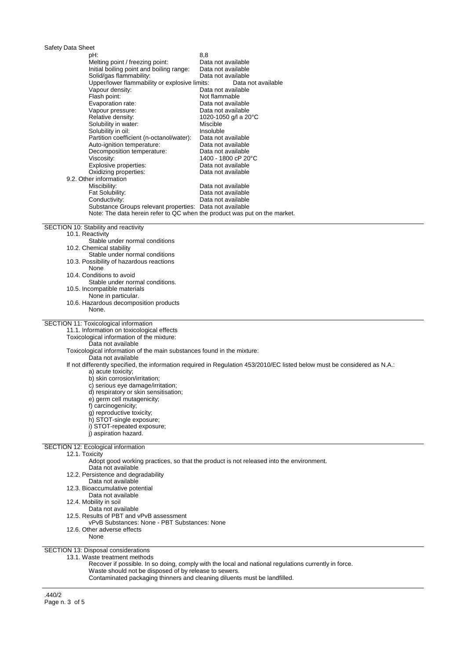| Safety Data Sheet<br>pH:                                                                                                              | 8,8                                                                                                                       |
|---------------------------------------------------------------------------------------------------------------------------------------|---------------------------------------------------------------------------------------------------------------------------|
| Melting point / freezing point:                                                                                                       | Data not available                                                                                                        |
| Initial boiling point and boiling range:                                                                                              | Data not available                                                                                                        |
| Solid/gas flammability:                                                                                                               | Data not available                                                                                                        |
| Upper/lower flammability or explosive limits:                                                                                         | Data not available                                                                                                        |
| Vapour density:                                                                                                                       | Data not available                                                                                                        |
| Flash point:                                                                                                                          | Not flammable                                                                                                             |
| Evaporation rate:                                                                                                                     | Data not available                                                                                                        |
| Vapour pressure:                                                                                                                      | Data not available                                                                                                        |
| Relative density:                                                                                                                     | 1020-1050 g/l a 20°C                                                                                                      |
| Solubility in water:<br>Solubility in oil:                                                                                            | Miscible<br>Insoluble                                                                                                     |
| Partition coefficient (n-octanol/water):                                                                                              | Data not available                                                                                                        |
| Auto-ignition temperature:                                                                                                            | Data not available                                                                                                        |
| Decomposition temperature:                                                                                                            | Data not available                                                                                                        |
| Viscosity:                                                                                                                            | 1400 - 1800 cP 20°C                                                                                                       |
| Explosive properties:                                                                                                                 | Data not available                                                                                                        |
| Oxidizing properties:                                                                                                                 | Data not available                                                                                                        |
| 9.2. Other information                                                                                                                |                                                                                                                           |
| Miscibility:                                                                                                                          | Data not available                                                                                                        |
| Fat Solubility:                                                                                                                       | Data not available                                                                                                        |
| Conductivity:                                                                                                                         | Data not available                                                                                                        |
| Substance Groups relevant properties: Data not available<br>Note: The data herein refer to QC when the product was put on the market. |                                                                                                                           |
|                                                                                                                                       |                                                                                                                           |
| SECTION 10: Stability and reactivity                                                                                                  |                                                                                                                           |
| 10.1. Reactivity                                                                                                                      |                                                                                                                           |
| Stable under normal conditions                                                                                                        |                                                                                                                           |
| 10.2. Chemical stability<br>Stable under normal conditions                                                                            |                                                                                                                           |
| 10.3. Possibility of hazardous reactions                                                                                              |                                                                                                                           |
| None                                                                                                                                  |                                                                                                                           |
| 10.4. Conditions to avoid                                                                                                             |                                                                                                                           |
| Stable under normal conditions.                                                                                                       |                                                                                                                           |
| 10.5. Incompatible materials                                                                                                          |                                                                                                                           |
| None in particular.                                                                                                                   |                                                                                                                           |
| 10.6. Hazardous decomposition products<br>None.                                                                                       |                                                                                                                           |
|                                                                                                                                       |                                                                                                                           |
| SECTION 11: Toxicological information                                                                                                 |                                                                                                                           |
| 11.1. Information on toxicological effects                                                                                            |                                                                                                                           |
| Toxicological information of the mixture:                                                                                             |                                                                                                                           |
| Data not available<br>Toxicological information of the main substances found in the mixture:                                          |                                                                                                                           |
| Data not available                                                                                                                    |                                                                                                                           |
|                                                                                                                                       | If not differently specified, the information required in Regulation 453/2010/EC listed below must be considered as N.A.: |
| a) acute toxicity;                                                                                                                    |                                                                                                                           |
| b) skin corrosion/irritation;                                                                                                         |                                                                                                                           |
| c) serious eye damage/irritation;                                                                                                     |                                                                                                                           |
| d) respiratory or skin sensitisation;                                                                                                 |                                                                                                                           |
| e) germ cell mutagenicity;                                                                                                            |                                                                                                                           |
| f) carcinogenicity;                                                                                                                   |                                                                                                                           |
| q) reproductive toxicity;                                                                                                             |                                                                                                                           |
| h) STOT-single exposure;<br>i) STOT-repeated exposure;                                                                                |                                                                                                                           |
| i) aspiration hazard.                                                                                                                 |                                                                                                                           |
|                                                                                                                                       |                                                                                                                           |
| SECTION 12: Ecological information                                                                                                    |                                                                                                                           |
| 12.1. Toxicity                                                                                                                        |                                                                                                                           |
| Data not available                                                                                                                    | Adopt good working practices, so that the product is not released into the environment.                                   |
| 12.2. Persistence and degradability                                                                                                   |                                                                                                                           |
| Data not available                                                                                                                    |                                                                                                                           |
| 12.3. Bioaccumulative potential                                                                                                       |                                                                                                                           |
| Data not available                                                                                                                    |                                                                                                                           |
| 12.4. Mobility in soil                                                                                                                |                                                                                                                           |
| Data not available                                                                                                                    |                                                                                                                           |
| 12.5. Results of PBT and vPvB assessment                                                                                              |                                                                                                                           |
| vPvB Substances: None - PBT Substances: None<br>12.6. Other adverse effects                                                           |                                                                                                                           |
| None                                                                                                                                  |                                                                                                                           |
|                                                                                                                                       |                                                                                                                           |
| SECTION 13: Disposal considerations                                                                                                   |                                                                                                                           |

13.1. Waste treatment methods

Recover if possible. In so doing, comply with the local and national regulations currently in force.

Waste should not be disposed of by release to sewers.

Contaminated packaging thinners and cleaning diluents must be landfilled.

.440/2 Page n. 3 of 5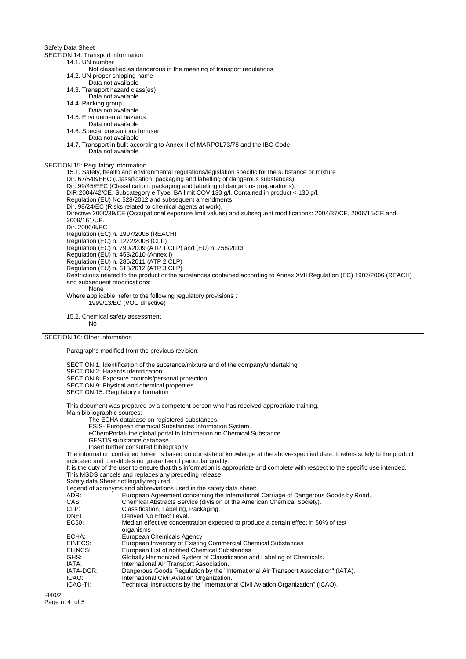Safety Data Sheet

SECTION 14: Transport information

14.1. UN number Not classified as dangerous in the meaning of transport regulations.

14.2. UN proper shipping name

Data not available

14.3. Transport hazard class(es)

Data not available

14.4. Packing group

Data not available

14.5. Environmental hazards Data not available

14.6. Special precautions for user

Data not available

14.7. Transport in bulk according to Annex II of MARPOL73/78 and the IBC Code Data not available

SECTION 15: Regulatory information

15.1. Safety, health and environmental regulations/legislation specific for the substance or mixture Dir. 67/548/EEC (Classification, packaging and labelling of dangerous substances). Dir. 99/45/EEC (Classification, packaging and labelling of dangerous preparations). DIR.2004/42/CE. Subcategory e Type BA limit COV 130 g/l. Contained in product < 130 g/l. Regulation (EU) No 528/2012 and subsequent amendments. Dir. 98/24/EC (Risks related to chemical agents at work). Directive 2000/39/CE (Occupational exposure limit values) and subsequent modifications: 2004/37/CE, 2006/15/CE and 2009/161/UE. Dir. 2006/8/EC Regulation (EC) n. 1907/2006 (REACH) Regulation (EC) n. 1272/2008 (CLP) Regulation (EC) n. 790/2009 (ATP 1 CLP) and (EU) n. 758/2013 Regulation (EU) n. 453/2010 (Annex I) Regulation (EU) n. 286/2011 (ATP 2 CLP) Regulation (EU) n. 618/2012 (ATP 3 CLP) Restrictions related to the product or the substances contained according to Annex XVII Regulation (EC) 1907/2006 (REACH) and subsequent modifications: **None** Where applicable, refer to the following regulatory provisions : 1999/13/EC (VOC directive)

15.2. Chemical safety assessment

No

## SECTION 16: Other information

Paragraphs modified from the previous revision:

SECTION 1: Identification of the substance/mixture and of the company/undertaking

SECTION 2: Hazards identification

SECTION 8: Exposure controls/personal protection

SECTION 9: Physical and chemical properties

SECTION 15: Regulatory information

This document was prepared by a competent person who has received appropriate training. Main bibliographic sources:

The ECHA database on registered substances.

ESIS- European chemical Substances Information System.

eChemPortal- the global portal to Information on Chemical Substance.

- GESTIS substance database.
- Insert further consulted bibliography

The information contained herein is based on our state of knowledge at the above-specified date. It refers solely to the product indicated and constitutes no guarantee of particular quality.

It is the duty of the user to ensure that this information is appropriate and complete with respect to the specific use intended. This MSDS cancels and replaces any preceding release.

Safety data Sheet not legally required.

Legend of acronyms and abbreviations used in the safety data sheet:<br>ADR: European Agreement concerning the Internationa ADR: European Agreement concerning the International Carriage of Dangerous Goods by Road.<br>CAS: Chemical Abstracts Service (division of the American Chemical Society). CAS: Chemical Abstracts Service (division of the American Chemical Society).<br>CLP: Classification, Labeling, Packaging. CLP: Classification, Labeling, Packaging. Derived No Effect Level EC50: Median effective concentration expected to produce a certain effect in 50% of test organisms ECHA: European Chemicals Agency<br>
ElNECS: European Inventory of Existin EINECS: European Inventory of Existing Commercial Chemical Substances ELINCS: European List of notified Chemical Substances GHS: Globally Harmonized System of Classification and Labeling of Chemicals.<br>
IATA: laternational Air Transport Association. IATA: International Air Transport Association.<br>IATA-DGR: Dangerous Goods Regulation by the "Ir IATA-DGR: Dangerous Goods Regulation by the "International Air Transport Association" (IATA).<br>ICAO: loternational Civil Aviation Organization. **ICAO:** International Civil Aviation Organization.<br>
ICAO-TI: Technical Instructions by the "Internation" Technical Instructions by the "International Civil Aviation Organization" (ICAO).

.440/2 Page n. 4 of 5